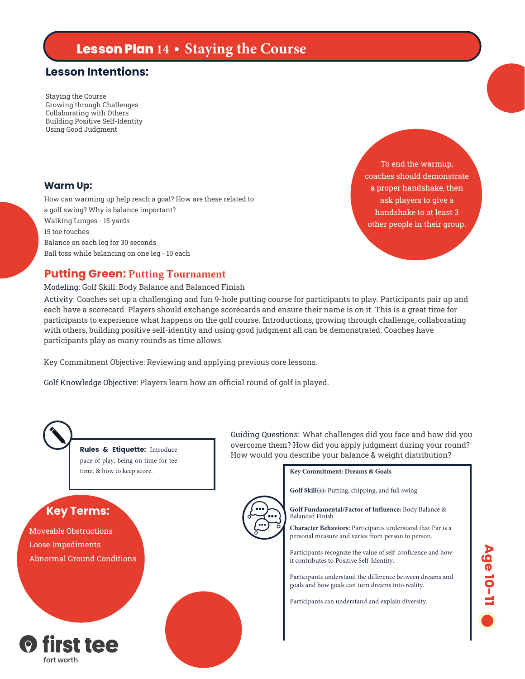# **Lesson Plan 14 • Staying the Course**

## **Lesson Intentions:**

Staying the Course Growing through Challenges Collaborating with Others Building Positive Self-Identity Using Good Judgment

#### **Warm Up:**

How can warming up help reach a goal? How are these related to a golf swing? Why is balance important? Walking Lunges - 15 yards 15 toe touches Balance on each leg for 30 seconds Ball toss while balancing on one leg - 10 each

coaches should demonstrate a proper handshake, then ask players to give a handshake to at least 3 other people in their group.

To end the warmup,

#### **Putting Green: Putting Tournament**

#### Modeling: Golf Skill: Body Balance and Balanced Finish

Activity: Coaches set up a challenging and fun 9-hole putting course for participants to play. Participants pair up and each have a scorecard. Players should exchange scorecards and ensure their name is on it. This is a great time for participants to experience what happens on the golf course. Introductions, growing through challenge, collaborating with others, building positive self-identity and using good judgment all can be demonstrated. Coaches have participants play as many rounds as time allows.

Key Commitment Objective: Reviewing and applying previous core lessons.

Golf Knowledge Objective: Players learn how an official round of golf is played.



pace of play, being on time for tee time, & how to keep score.

## **Key Terms:**

Moveable Obstructions Loose Impediments Abnormal Ground Conditions



Guiding Questions: What challenges did you face and how did you overcome them? How did you apply judgment during your round? How would you describe your balance & weight distribution? **Rules & Etiquette:** Introduce

**Key Commitment: Dreams & Goals**

**Golf Skill(s):** Putting, chipping, and full swing

**Golf Fundamental/Factor of Influence:** Body Balance & Balanced Finish

**Character Behaviors:** Participants understand that Par is a personal measure and varies from person to person.

Participants recognize the value of self-conficence and how it contributes to Positive Self-Identity.

Participants understand the difference between dreams and goals and how goals can turn dreams into reality.

Participants can understand and explain diversity.

**Age 10-11 6**